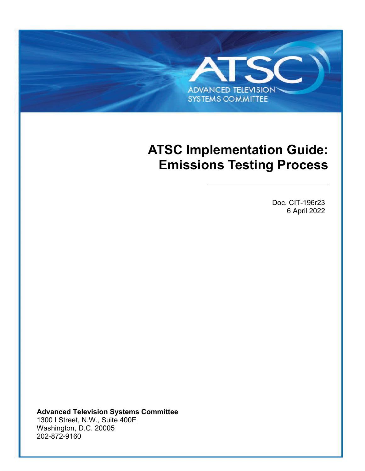# **ADVANCED TELEVISION SYSTEMS COMMITTEE**

## <span id="page-0-1"></span>**ATSC Implementation Guide: Emissions Testing Process**

<span id="page-0-2"></span><span id="page-0-0"></span>Doc. CIT-196r23 6 April 2022

**Advanced Television Systems Committee** 1300 I Street, N.W., Suite 400E Washington, D.C. 20005 202-872-9160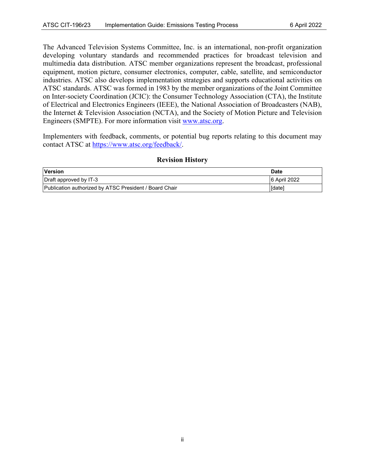The Advanced Television Systems Committee, Inc. is an international, non-profit organization developing voluntary standards and recommended practices for broadcast television and multimedia data distribution. ATSC member organizations represent the broadcast, professional equipment, motion picture, consumer electronics, computer, cable, satellite, and semiconductor industries. ATSC also develops implementation strategies and supports educational activities on ATSC standards. ATSC was formed in 1983 by the member organizations of the Joint Committee on Inter-society Coordination (JCIC): the Consumer Technology Association (CTA), the Institute of Electrical and Electronics Engineers (IEEE), the National Association of Broadcasters (NAB), the Internet & Television Association (NCTA), and the Society of Motion Picture and Television Engineers (SMPTE). For more information visit [www.atsc.org.](http://www.atsc.org/)

Implementers with feedback, comments, or potential bug reports relating to this document may contact ATSC at [https://www.atsc.org/feedback/.](https://www.atsc.org/feedback/)

#### **Revision History**

| Version                                                | <b>Date</b>   |
|--------------------------------------------------------|---------------|
| Draft approved by IT-3                                 | 6 April 2022  |
| Publication authorized by ATSC President / Board Chair | <b>Idatel</b> |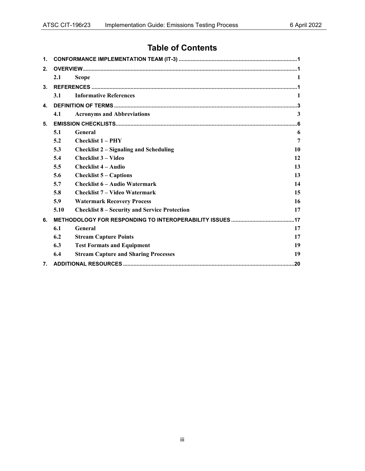### **Table of Contents**

| $\mathbf{1}$ .   |      |                                                      |              |
|------------------|------|------------------------------------------------------|--------------|
| 2.               |      |                                                      |              |
|                  | 2.1  | <b>Scope</b>                                         | $\mathbf{1}$ |
| 3.               |      |                                                      |              |
|                  | 3.1  | <b>Informative References</b>                        | 1            |
| 4.               |      |                                                      |              |
|                  | 4.1  | <b>Acronyms and Abbreviations</b>                    | 3            |
| 5.               |      |                                                      |              |
|                  | 5.1  | General                                              | 6            |
|                  | 5.2  | <b>Checklist 1 – PHY</b>                             | 7            |
|                  | 5.3  | <b>Checklist 2 - Signaling and Scheduling</b>        | 10           |
|                  | 5.4  | <b>Checklist 3 - Video</b>                           | 12           |
|                  | 5.5  | <b>Checklist 4 - Audio</b>                           | 13           |
|                  | 5.6  | <b>Checklist 5 – Captions</b>                        | 13           |
|                  | 5.7  | <b>Checklist 6 – Audio Watermark</b>                 | 14           |
|                  | 5.8  | <b>Checklist 7 – Video Watermark</b>                 | 15           |
|                  | 5.9  | <b>Watermark Recovery Process</b>                    | 16           |
|                  | 5.10 | <b>Checklist 8 – Security and Service Protection</b> | 17           |
| 6.               |      |                                                      |              |
|                  | 6.1  | General                                              | 17           |
|                  | 6.2  | <b>Stream Capture Points</b>                         | 17           |
|                  | 6.3  | <b>Test Formats and Equipment</b>                    | 19           |
|                  | 6.4  | <b>Stream Capture and Sharing Processes</b>          | 19           |
| $\overline{7}$ . |      |                                                      |              |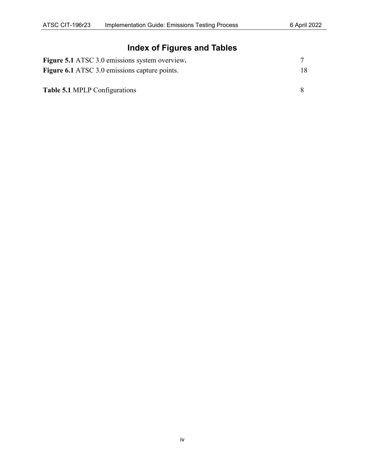## **Index of Figures and Tables**

| <b>Figure 5.1</b> ATSC 3.0 emissions system overview. |     |
|-------------------------------------------------------|-----|
| <b>Figure 6.1</b> ATSC 3.0 emissions capture points.  | 18. |
|                                                       |     |
| <b>Table 5.1 MPLP Configurations</b>                  |     |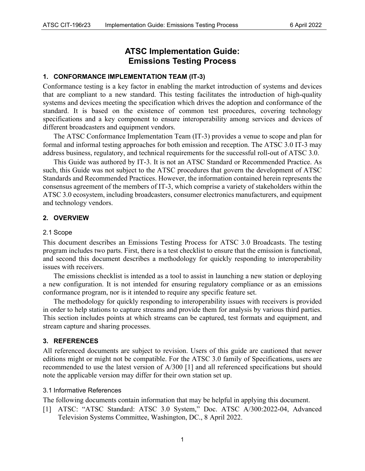#### **ATSC Implementation Guide: [Emissions Testing Process](#page-0-1)**

#### <span id="page-4-0"></span>**1. CONFORMANCE IMPLEMENTATION TEAM (IT-3)**

Conformance testing is a key factor in enabling the market introduction of systems and devices that are compliant to a new standard. This testing facilitates the introduction of high-quality systems and devices meeting the specification which drives the adoption and conformance of the standard. It is based on the existence of common test procedures, covering technology specifications and a key component to ensure interoperability among services and devices of different broadcasters and equipment vendors.

The ATSC Conformance Implementation Team (IT-3) provides a venue to scope and plan for formal and informal testing approaches for both emission and reception. The ATSC 3.0 IT-3 may address business, regulatory, and technical requirements for the successful roll-out of ATSC 3.0.

This Guide was authored by IT-3. It is not an ATSC Standard or Recommended Practice. As such, this Guide was not subject to the ATSC procedures that govern the development of ATSC Standards and Recommended Practices. However, the information contained herein represents the consensus agreement of the members of IT-3, which comprise a variety of stakeholders within the ATSC 3.0 ecosystem, including broadcasters, consumer electronics manufacturers, and equipment and technology vendors.

#### <span id="page-4-1"></span>**2. OVERVIEW**

#### <span id="page-4-2"></span>2.1 Scope

This document describes an Emissions Testing Process for ATSC 3.0 Broadcasts. The testing program includes two parts. First, there is a test checklist to ensure that the emission is functional, and second this document describes a methodology for quickly responding to interoperability issues with receivers.

The emissions checklist is intended as a tool to assist in launching a new station or deploying a new configuration. It is not intended for ensuring regulatory compliance or as an emissions conformance program, nor is it intended to require any specific feature set.

The methodology for quickly responding to interoperability issues with receivers is provided in order to help stations to capture streams and provide them for analysis by various third parties. This section includes points at which streams can be captured, test formats and equipment, and stream capture and sharing processes.

#### <span id="page-4-3"></span>**3. REFERENCES**

All referenced documents are subject to revision. Users of this guide are cautioned that newer editions might or might not be compatible. For the ATSC 3.0 family of Specifications, users are recommended to use the latest version of A/300 [\[1\]](#page-4-5) and all referenced specifications but should note the applicable version may differ for their own station set up.

#### <span id="page-4-4"></span>3.1 Informative References

The following documents contain information that may be helpful in applying this document.

<span id="page-4-5"></span>[1] ATSC: "ATSC Standard: ATSC 3.0 System," Doc. ATSC A/300:2022-04, Advanced Television Systems Committee, Washington, DC., 8 April 2022.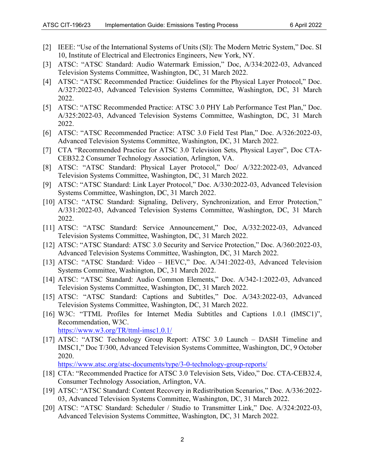- <span id="page-5-0"></span>[2] IEEE: "Use of the International Systems of Units (SI): The Modern Metric System," Doc. SI 10, Institute of Electrical and Electronics Engineers, New York, NY.
- <span id="page-5-1"></span>[3] ATSC: "ATSC Standard: Audio Watermark Emission," Doc, A/334:2022-03, Advanced Television Systems Committee, Washington, DC, 31 March 2022.
- <span id="page-5-2"></span>[4] ATSC: "ATSC Recommended Practice: Guidelines for the Physical Layer Protocol," Doc. A/327:2022-03, Advanced Television Systems Committee, Washington, DC, 31 March 2022.
- <span id="page-5-3"></span>[5] ATSC: "ATSC Recommended Practice: ATSC 3.0 PHY Lab Performance Test Plan," Doc. A/325:2022-03, Advanced Television Systems Committee, Washington, DC, 31 March 2022.
- <span id="page-5-4"></span>[6] ATSC: "ATSC Recommended Practice: ATSC 3.0 Field Test Plan," Doc. A/326:2022-03, Advanced Television Systems Committee, Washington, DC, 31 March 2022.
- <span id="page-5-5"></span>[7] CTA "Recommended Practice for ATSC 3.0 Television Sets, Physical Layer", Doc CTA-CEB32.2 Consumer Technology Association, Arlington, VA.
- <span id="page-5-6"></span>[8] ATSC: "ATSC Standard: Physical Layer Protocol," Doc/ A/322:2022-03, Advanced Television Systems Committee, Washington, DC, 31 March 2022.
- <span id="page-5-7"></span>[9] ATSC: "ATSC Standard: Link Layer Protocol," Doc. A/330:2022-03, Advanced Television Systems Committee, Washington, DC, 31 March 2022.
- <span id="page-5-8"></span>[10] ATSC: "ATSC Standard: Signaling, Delivery, Synchronization, and Error Protection," A/331:2022-03, Advanced Television Systems Committee, Washington, DC, 31 March 2022.
- <span id="page-5-9"></span>[11] ATSC: "ATSC Standard: Service Announcement," Doc, A/332:2022-03, Advanced Television Systems Committee, Washington, DC, 31 March 2022.
- <span id="page-5-10"></span>[12] ATSC: "ATSC Standard: ATSC 3.0 Security and Service Protection," Doc. A/360:2022-03, Advanced Television Systems Committee, Washington, DC, 31 March 2022.
- <span id="page-5-11"></span>[13] ATSC: "ATSC Standard: Video – HEVC," Doc. A/341:2022-03, Advanced Television Systems Committee, Washington, DC, 31 March 2022.
- <span id="page-5-12"></span>[14] ATSC: "ATSC Standard: Audio Common Elements," Doc. A/342-1:2022-03, Advanced Television Systems Committee, Washington, DC, 31 March 2022.
- <span id="page-5-13"></span>[15] ATSC: "ATSC Standard: Captions and Subtitles," Doc. A/343:2022-03, Advanced Television Systems Committee, Washington, DC, 31 March 2022.
- <span id="page-5-14"></span>[16] W3C: "TTML Profiles for Internet Media Subtitles and Captions 1.0.1 (IMSC1)", Recommendation, W3C. <https://www.w3.org/TR/ttml-imsc1.0.1/>
- <span id="page-5-15"></span>[17] ATSC: "ATSC Technology Group Report: ATSC 3.0 Launch – DASH Timeline and IMSC1," Doc T/300, Advanced Television Systems Committee, Washington, DC, 9 October 2020.

<https://www.atsc.org/atsc-documents/type/3-0-technology-group-reports/>

- <span id="page-5-16"></span>[18] CTA: "Recommended Practice for ATSC 3.0 Television Sets, Video," Doc. CTA-CEB32.4, Consumer Technology Association, Arlington, VA.
- <span id="page-5-17"></span>[19] ATSC: "ATSC Standard: Content Recovery in Redistribution Scenarios," Doc. A/336:2022- 03, Advanced Television Systems Committee, Washington, DC, 31 March 2022.
- <span id="page-5-18"></span>[20] ATSC: "ATSC Standard: Scheduler / Studio to Transmitter Link," Doc. A/324:2022-03, Advanced Television Systems Committee, Washington, DC, 31 March 2022.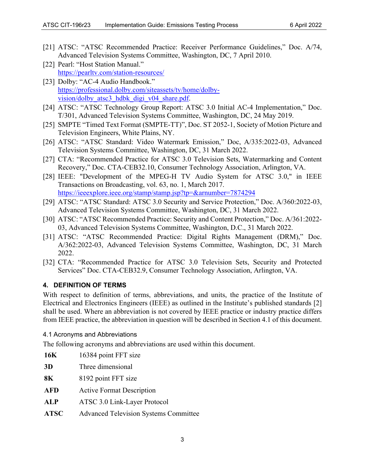- <span id="page-6-9"></span>[21] ATSC: "ATSC Recommended Practice: Receiver Performance Guidelines," Doc. A/74, Advanced Television Systems Committee, Washington, DC, 7 April 2010.
- <span id="page-6-10"></span>[22] Pearl: "Host Station Manual." <https://pearltv.com/station-resources/>
- <span id="page-6-11"></span>[23] Dolby: "AC-4 Audio Handbook." [https://professional.dolby.com/siteassets/tv/home/dolby](https://professional.dolby.com/siteassets/tv/home/dolby-vision/dolby_atsc3_hdbk_digi_v04_share.pdf)[vision/dolby\\_atsc3\\_hdbk\\_digi\\_v04\\_share.pdf.](https://professional.dolby.com/siteassets/tv/home/dolby-vision/dolby_atsc3_hdbk_digi_v04_share.pdf)
- <span id="page-6-4"></span>[24] ATSC: "ATSC Technology Group Report: ATSC 3.0 Initial AC-4 Implementation," Doc. T/301, Advanced Television Systems Committee, Washington, DC, 24 May 2019.
- <span id="page-6-3"></span>[25] SMPTE "Timed Text Format (SMPTE-TT)", Doc. ST 2052-1, Society of Motion Picture and Television Engineers, White Plains, NY.
- [26] ATSC: "ATSC Standard: Video Watermark Emission," Doc, A/335:2022-03, Advanced Television Systems Committee, Washington, DC, 31 March 2022.
- [27] CTA: "Recommended Practice for ATSC 3.0 Television Sets, Watermarking and Content Recovery," Doc. CTA-CEB32.10, Consumer Technology Association, Arlington, VA.
- <span id="page-6-2"></span>[28] IEEE: "Development of the MPEG-H TV Audio System for ATSC 3.0," in IEEE Transactions on Broadcasting, vol. 63, no. 1, March 2017. <https://ieeexplore.ieee.org/stamp/stamp.jsp?tp=&arnumber=7874294>
- <span id="page-6-5"></span>[29] ATSC: "ATSC Standard: ATSC 3.0 Security and Service Protection," Doc. A/360:2022-03, Advanced Television Systems Committee, Washington, DC, 31 March 2022.
- <span id="page-6-6"></span>[30] ATSC: "ATSC Recommended Practice: Security and Content Protection," Doc. A/361:2022- 03, Advanced Television Systems Committee, Washington, D.C., 31 March 2022.
- <span id="page-6-7"></span>[31] ATSC: "ATSC Recommended Practice: Digital Rights Management (DRM)," Doc. A/362:2022-03, Advanced Television Systems Committee, Washington, DC, 31 March 2022.
- <span id="page-6-8"></span>[32] CTA: "Recommended Practice for ATSC 3.0 Television Sets, Security and Protected Services" Doc. CTA-CEB32.9, Consumer Technology Association, Arlington, VA.

#### <span id="page-6-0"></span>**4. DEFINITION OF TERMS**

With respect to definition of terms, abbreviations, and units, the practice of the Institute of Electrical and Electronics Engineers (IEEE) as outlined in the Institute's published standards [\[2\]](#page-5-0)  shall be used. Where an abbreviation is not covered by IEEE practice or industry practice differs from IEEE practice, the abbreviation in question will be described in Section [4.1](#page-6-1) of this document.

#### <span id="page-6-1"></span>4.1 Acronyms and Abbreviations

The following acronyms and abbreviations are used within this document.

**16K** 16384 point FFT size **3D** Three dimensional **8K** 8192 point FFT size **AFD** Active Format Description **ALP** ATSC 3.0 Link-Layer Protocol **ATSC** Advanced Television Systems Committee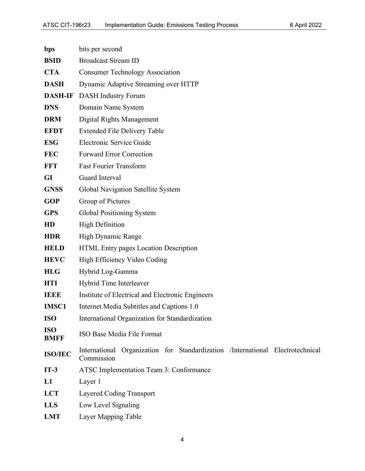| bps                       | bits per second                                                                              |
|---------------------------|----------------------------------------------------------------------------------------------|
| <b>BSID</b>               | <b>Broadcast Stream ID</b>                                                                   |
| <b>CTA</b>                | <b>Consumer Technology Association</b>                                                       |
| <b>DASH</b>               | Dynamic Adaptive Streaming over HTTP                                                         |
| <b>DASH-IF</b>            | <b>DASH</b> Industry Forum                                                                   |
| <b>DNS</b>                | Domain Name System                                                                           |
| <b>DRM</b>                | Digital Rights Management                                                                    |
| <b>EFDT</b>               | <b>Extended File Delivery Table</b>                                                          |
| <b>ESG</b>                | Electronic Service Guide                                                                     |
| <b>FEC</b>                | <b>Forward Error Correction</b>                                                              |
| <b>FFT</b>                | <b>Fast Fourier Transform</b>                                                                |
| <b>GI</b>                 | Guard Interval                                                                               |
| <b>GNSS</b>               | Global Navigation Satellite System                                                           |
| <b>GOP</b>                | Group of Pictures                                                                            |
| <b>GPS</b>                | Global Positioning System                                                                    |
| HD                        | <b>High Definition</b>                                                                       |
| <b>HDR</b>                | High Dynamic Range                                                                           |
| <b>HELD</b>               | HTML Entry pages Location Description                                                        |
| <b>HEVC</b>               | High Efficiency Video Coding                                                                 |
| <b>HLG</b>                | Hybrid Log-Gamma                                                                             |
| <b>HTI</b>                | Hybrid Time Interleaver                                                                      |
| <b>IEEE</b>               | Institute of Electrical and Electronic Engineers                                             |
| <b>IMSC1</b>              | Internet Media Subtitles and Captions 1.0                                                    |
| <b>ISO</b>                | International Organization for Standardization                                               |
| <b>ISO</b><br><b>BMFF</b> | ISO Base Media File Format                                                                   |
| <b>ISO/IEC</b>            | International Organization for Standardization /International Electrotechnical<br>Commission |
| $IT-3$                    | ATSC Implementation Team 3: Conformance                                                      |
| L1                        | Layer 1                                                                                      |
| <b>LCT</b>                | Layered Coding Transport                                                                     |
| <b>LLS</b>                | Low Level Signaling                                                                          |
| <b>LMT</b>                | Layer Mapping Table                                                                          |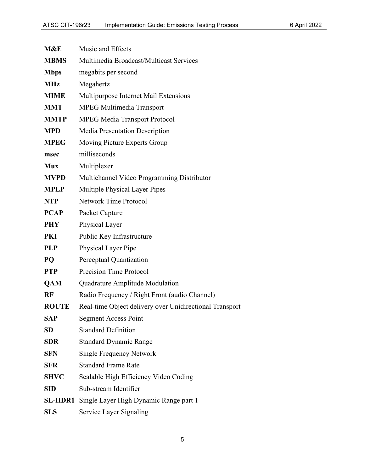| M&E          | Music and Effects                                       |  |
|--------------|---------------------------------------------------------|--|
| <b>MBMS</b>  | Multimedia Broadcast/Multicast Services                 |  |
| <b>Mbps</b>  | megabits per second                                     |  |
| <b>MHz</b>   | Megahertz                                               |  |
| <b>MIME</b>  | Multipurpose Internet Mail Extensions                   |  |
| <b>MMT</b>   | <b>MPEG Multimedia Transport</b>                        |  |
| <b>MMTP</b>  | <b>MPEG Media Transport Protocol</b>                    |  |
| <b>MPD</b>   | <b>Media Presentation Description</b>                   |  |
| <b>MPEG</b>  | Moving Picture Experts Group                            |  |
| msec         | milliseconds                                            |  |
| <b>Mux</b>   | Multiplexer                                             |  |
| <b>MVPD</b>  | Multichannel Video Programming Distributor              |  |
| <b>MPLP</b>  | Multiple Physical Layer Pipes                           |  |
| <b>NTP</b>   | <b>Network Time Protocol</b>                            |  |
| <b>PCAP</b>  | Packet Capture                                          |  |
| <b>PHY</b>   | Physical Layer                                          |  |
| <b>PKI</b>   | Public Key Infrastructure                               |  |
| <b>PLP</b>   | Physical Layer Pipe                                     |  |
| <b>PQ</b>    | Perceptual Quantization                                 |  |
| <b>PTP</b>   | Precision Time Protocol                                 |  |
| QAM          | Quadrature Amplitude Modulation                         |  |
| <b>RF</b>    | Radio Frequency / Right Front (audio Channel)           |  |
| <b>ROUTE</b> | Real-time Object delivery over Unidirectional Transport |  |
| <b>SAP</b>   | <b>Segment Access Point</b>                             |  |
| <b>SD</b>    | <b>Standard Definition</b>                              |  |
| <b>SDR</b>   | <b>Standard Dynamic Range</b>                           |  |
| <b>SFN</b>   | <b>Single Frequency Network</b>                         |  |
| <b>SFR</b>   | <b>Standard Frame Rate</b>                              |  |
| <b>SHVC</b>  | Scalable High Efficiency Video Coding                   |  |
| <b>SID</b>   | Sub-stream Identifier                                   |  |
| SL-HDR1      | Single Layer High Dynamic Range part 1                  |  |
| <b>SLS</b>   | Service Layer Signaling                                 |  |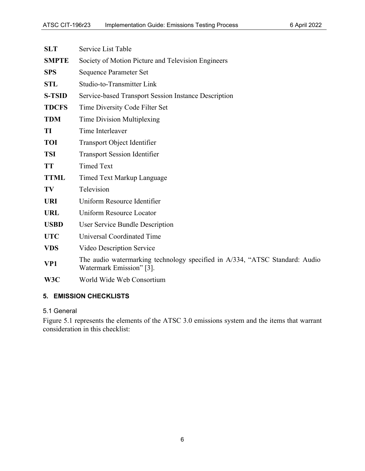| <b>SLT</b>    | Service List Table                                                                                      |
|---------------|---------------------------------------------------------------------------------------------------------|
| <b>SMPTE</b>  | Society of Motion Picture and Television Engineers                                                      |
| <b>SPS</b>    | <b>Sequence Parameter Set</b>                                                                           |
| <b>STL</b>    | Studio-to-Transmitter Link                                                                              |
| <b>S-TSID</b> | Service-based Transport Session Instance Description                                                    |
| <b>TDCFS</b>  | Time Diversity Code Filter Set                                                                          |
| <b>TDM</b>    | Time Division Multiplexing                                                                              |
| TI            | Time Interleaver                                                                                        |
| <b>TOI</b>    | Transport Object Identifier                                                                             |
| <b>TSI</b>    | <b>Transport Session Identifier</b>                                                                     |
| <b>TT</b>     | <b>Timed Text</b>                                                                                       |
| <b>TTML</b>   | Timed Text Markup Language                                                                              |
| TV            | Television                                                                                              |
| <b>URI</b>    | Uniform Resource Identifier                                                                             |
| <b>URL</b>    | Uniform Resource Locator                                                                                |
| <b>USBD</b>   | User Service Bundle Description                                                                         |
| <b>UTC</b>    | <b>Universal Coordinated Time</b>                                                                       |
| <b>VDS</b>    | Video Description Service                                                                               |
| VP1           | The audio watermarking technology specified in A/334, "ATSC Standard: Audio<br>Watermark Emission" [3]. |
| W3C           | World Wide Web Consortium                                                                               |
|               |                                                                                                         |

#### <span id="page-9-0"></span>**5. EMISSION CHECKLISTS**

#### <span id="page-9-1"></span>5.1 General

[Figure 5.1](#page-10-1) represents the elements of the ATSC 3.0 emissions system and the items that warrant consideration in this checklist: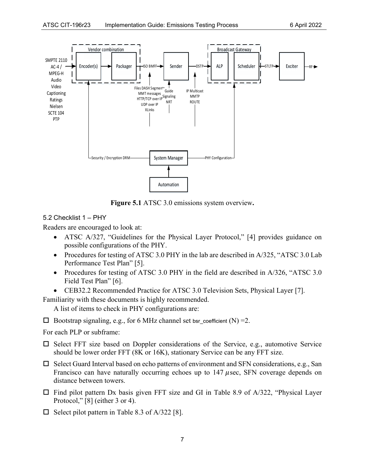

**Figure 5.1** ATSC 3.0 emissions system overview**.**

#### <span id="page-10-1"></span><span id="page-10-0"></span>5.2 Checklist 1 – PHY

Readers are encouraged to look at:

- ATSC A/327, "Guidelines for the Physical Layer Protocol," [\[4\]](#page-5-2) provides guidance on possible configurations of the PHY.
- Procedures for testing of ATSC 3.0 PHY in the lab are described in A/325, "ATSC 3.0 Lab" Performance Test Plan" [\[5\].](#page-5-3)
- Procedures for testing of ATSC 3.0 PHY in the field are described in A/326, "ATSC 3.0 Field Test Plan" [\[6\].](#page-5-4)
- CEB32.2 Recommended Practice for ATSC 3.0 Television Sets, Physical Layer [\[7\].](#page-5-5)

Familiarity with these documents is highly recommended.

A list of items to check in PHY configurations are:

 $\Box$  Bootstrap signaling, e.g., for 6 MHz channel set bsr\_coefficient (N) = 2.

For each PLP or subframe:

- $\square$  Select FFT size based on Doppler considerations of the Service, e.g., automotive Service should be lower order FFT (8K or 16K), stationary Service can be any FFT size.
- $\square$  Select Guard Interval based on echo patterns of environment and SFN considerations, e.g., San Francisco can have naturally occurring echoes up to  $147 \mu$ sec, SFN coverage depends on distance between towers.
- $\Box$  Find pilot pattern Dx basis given FFT size and GI in Table 8.9 of A/322, "Physical Layer Protocol," [\[8\]](#page-5-6) (either 3 or 4).
- $\Box$  Select pilot pattern in Table 8.3 of A/322 [\[8\].](#page-5-6)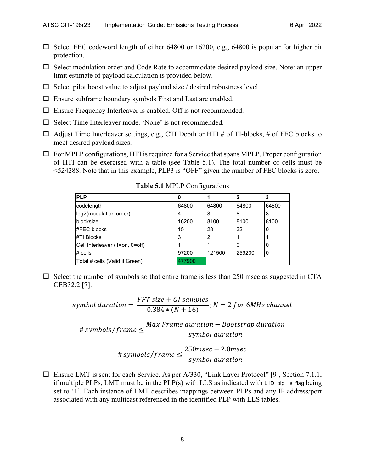- $\Box$  Select FEC codeword length of either 64800 or 16200, e.g., 64800 is popular for higher bit protection.
- $\Box$  Select modulation order and Code Rate to accommodate desired payload size. Note: an upper limit estimate of payload calculation is provided below.
- $\Box$  Select pilot boost value to adjust payload size / desired robustness level.
- $\square$  Ensure subframe boundary symbols First and Last are enabled.
- Ensure Frequency Interleaver is enabled. Off is not recommended.
- $\square$  Select Time Interleaver mode. 'None' is not recommended.
- $\Box$  Adjust Time Interleaver settings, e.g., CTI Depth or HTI # of TI-blocks, # of FEC blocks to meet desired payload sizes.
- <span id="page-11-0"></span> $\Box$  For MPLP configurations, HTI is required for a Service that spans MPLP. Proper configuration of HTI can be exercised with a table (see [Table 5.1\)](#page-11-0). The total number of cells must be <524288. Note that in this example, PLP3 is "OFF" given the number of FEC blocks is zero.

| <b>PLP</b>                     | 0     |        | 2      | 3     |
|--------------------------------|-------|--------|--------|-------|
| codelength                     | 64800 | 64800  | 64800  | 64800 |
| log2(modulation order)         | 4     | 8      | 8      | 8     |
| blocksize                      | 16200 | 8100   | 8100   | 8100  |
| #FEC blocks                    | 15    | 28     | 32     | 0     |
| #TI Blocks                     | 3     | 2      |        |       |
| Cell Interleaver (1=on, 0=off) |       |        | I O    | 10    |
| $#$ cells                      | 97200 | 121500 | 259200 | 0     |
| Total # cells (Valid if Green) | 7900  |        |        |       |

**Table 5.1** MPLP Configurations

 $\square$  Select the number of symbols so that entire frame is less than 250 msec as suggested in CTA CEB32.2 [\[7\].](#page-5-5)

$$
symbol duration = \frac{FFT\ size + GI\ samples}{0.384 * (N + 16)}; N = 2 for 6MHz channel
$$
\n
$$
\# symbols/frame \leq \frac{Max\ Frame\ duration - Boosttrap\ duration}{symbol duration}
$$
\n
$$
\# symbols/frame \leq \frac{250msec - 2.0msec}{symbol duration}
$$

 $\Box$  Ensure LMT is sent for each Service. As per A/330, "Link Layer Protocol" [\[9\],](#page-5-7) Section 7.1.1, if multiple PLPs, LMT must be in the PLP $(s)$  with LLS as indicated with L1D plp IIs flag being set to '1'. Each instance of LMT describes mappings between PLPs and any IP address/port associated with any multicast referenced in the identified PLP with LLS tables.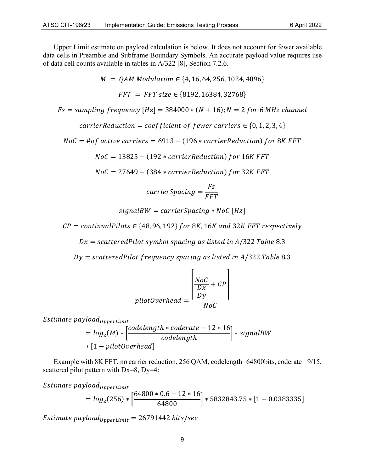Upper Limit estimate on payload calculation is below. It does not account for fewer available data cells in Preamble and Subframe Boundary Symbols. An accurate payload value requires use of data cell counts available in tables in A/322 [\[8\],](#page-5-6) Section 7.2.6.

 $M = OAM Modulation \in \{4, 16, 64, 256, 1024, 4096\}$ 

 $FFT = FFT size \in \{8192, 16384, 32768\}$ 

 $Fs = sampling frequency [Hz] = 384000 * (N + 16); N = 2 for 6 MHz channel$ 

carrierReduction = coefficient of fewer carriers  $\in \{0, 1, 2, 3, 4\}$ 

 $NoC = # of active carriers = 6913 - (196 * carrier Reduction) for 8K FFT$ 

 $NoC = 13825 - (192 * carrier Reduction)$  for 16K FFT

 $NoC = 27649 - (384 * carrier Reduction) for 32K FFT$ 

$$
carrierSpacing = \frac{Fs}{FFT}
$$

 $signal BW = carrier Spacing * NoC [Hz]$ 

 $CP =$  continualPilots  $\in$  {48, 96, 192} for 8K, 16K and 32K FFT respectively

 $Dx = scatteredPilot$  symbol spacing as listed in A/322 Table 8.3

 $Dy = scatteredPilot frequency spacing as listed in A/322 Table 8.3$ 

$$
pilotOverhead = \frac{\left[\frac{NoC}{Dx} + CP\right]}{NoC}
$$

 $Estimate$  payload<sub>UpperLimit</sub>

$$
= log2(M) * \left[\frac{codelength * coderate - 12 * 16}{codelength}\right] * signalBW
$$
  
\* [1 - pilotOverhead]

Example with 8K FFT, no carrier reduction, 256 QAM, codelength=64800bits, coderate =9/15, scattered pilot pattern with Dx=8, Dy=4:

 $Estimate$  payload<sub>UpperLimit</sub>

$$
= \log_2(256) * \left[ \frac{64800 * 0.6 - 12 * 16}{64800} \right] * 5832843.75 * [1 - 0.0383335]
$$

*Estimate payload*<sub>*UpperLimit* = 26791442 *bits/sec*</sub>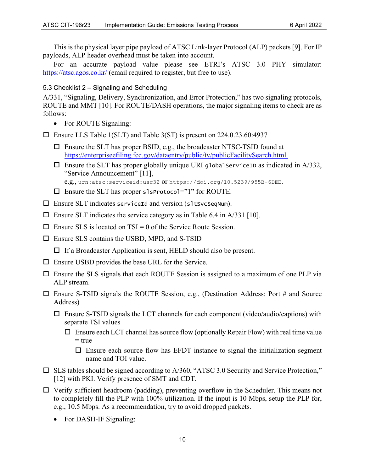This is the physical layer pipe payload of ATSC Link-layer Protocol (ALP) packets [\[9\].](#page-5-7) For IP payloads, ALP header overhead must be taken into account.

For an accurate payload value please see ETRI's ATSC 3.0 PHY simulator: <https://atsc.agos.co.kr/> (email required to register, but free to use).

#### <span id="page-13-0"></span>5.3 Checklist 2 – Signaling and Scheduling

A/331, "Signaling, Delivery, Synchronization, and Error Protection," has two signaling protocols, ROUTE and MMT [\[10\].](#page-5-8) For ROUTE/DASH operations, the major signaling items to check are as follows:

• For ROUTE Signaling:

Ensure LLS Table 1(SLT) and Table 3(ST) is present on 224.0.23.60:4937

- $\Box$  Ensure the SLT has proper BSID, e.g., the broadcaster NTSC-TSID found at [https://enterpriseefiling.fcc.gov/dataentry/public/tv/publicFacilitySearch.html.](https://enterpriseefiling.fcc.gov/dataentry/public/tv/publicFacilitySearch.html)
- $\Box$  Ensure the SLT has proper globally unique URI global Service ID as indicated in A/332, "Service Announcement" [\[11\],](#page-5-9) e.g., urn:atsc:serviceid:usc32 or https://doi.org/10.5239/955B-6DEE.
- $\Box$  Ensure the SLT has proper slsprotocol="1" for ROUTE.
- $\square$  Ensure SLT indicates serviceId and version (sltSvcSeqNum).
- $\square$  Ensure SLT indicates the service category as in Table 6.4 in A/331 [\[10\].](#page-5-8)
- $\Box$  Ensure SLS is located on TSI = 0 of the Service Route Session.
- □ Ensure SLS contains the USBD, MPD, and S-TSID

 $\Box$  If a Broadcaster Application is sent, HELD should also be present.

- $\Box$  Ensure USBD provides the base URL for the Service.
- $\Box$  Ensure the SLS signals that each ROUTE Session is assigned to a maximum of one PLP via ALP stream.
- $\Box$  Ensure S-TSID signals the ROUTE Session, e.g., (Destination Address: Port # and Source Address)
	- $\Box$  Ensure S-TSID signals the LCT channels for each component (video/audio/captions) with separate TSI values
		- $\Box$  Ensure each LCT channel has source flow (optionally Repair Flow) with real time value  $=$  true
			- $\Box$  Ensure each source flow has EFDT instance to signal the initialization segment name and TOI value.
- $\square$  SLS tables should be signed according to A/360, "ATSC 3.0 Security and Service Protection," [\[12\]](#page-5-10) with PKI. Verify presence of SMT and CDT.
- $\Box$  Verify sufficient headroom (padding), preventing overflow in the Scheduler. This means not to completely fill the PLP with 100% utilization. If the input is 10 Mbps, setup the PLP for, e.g., 10.5 Mbps. As a recommendation, try to avoid dropped packets.
	- For DASH-IF Signaling: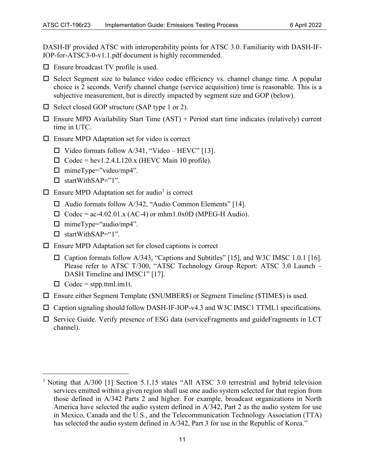DASH-IF provided ATSC with interoperability points for ATSC 3.0. Familiarity with DASH-IF-IOP-for-ATSC3-0-v1.1.pdf document is highly recommended.

- $\square$  Ensure broadcast TV profile is used.
- $\square$  Select Segment size to balance video codec efficiency vs. channel change time. A popular choice is 2 seconds. Verify channel change (service acquisition) time is reasonable. This is a subjective measurement, but is directly impacted by segment size and GOP (below).
- $\Box$  Select closed GOP structure (SAP type 1 or 2).
- $\Box$  Ensure MPD Availability Start Time (AST) + Period start time indicates (relatively) current time in UTC.
- $\Box$  Ensure MPD Adaptation set for video is correct
	- $\Box$  Video formats follow A/341, "Video HEVC" [\[13\].](#page-5-11)
	- $\Box$  Codec = hev1.2.4.L120.x (HEVC Main 10 profile).
	- $\Box$  mimeType="video/mp4".
	- $\Box$  startWithSAP="1".
- $\Box$  Ensure MPD Adaptation set for audio<sup>[1](#page-14-0)</sup> is correct
	- $\Box$  Audio formats follow A/342, "Audio Common Elements" [\[14\].](#page-5-12)
	- $\Box$  Codec = ac-4.02.01.x (AC-4) or mhm1.0x0D (MPEG-H Audio).
	- $\Box$  mimeType="audio/mp4".
	- $\Box$  startWithSAP="1".
- $\Box$  Ensure MPD Adaptation set for closed captions is correct
	- $\Box$  Caption formats follow A/343, "Captions and Subtitles" [\[15\],](#page-5-13) and W3C IMSC 1.0.1 [\[16\].](#page-5-14) Please refer to ATSC T/300, "ATSC Technology Group Report: ATSC 3.0 Launch – DASH Timeline and IMSC1" [\[17\].](#page-5-15)
	- $\Box$  Codec = stpp.ttml.im1t.
- Ensure either Segment Template (\$NUMBER\$) or Segment Timeline (\$TIME\$) is used.
- $\Box$  Caption signaling should follow DASH-IF-IOP-v4.3 and W3C IMSC1 TTML1 specifications.
- $\square$  Service Guide. Verify presence of ESG data (serviceFragments and guideFragments in LCT channel).

<span id="page-14-0"></span><sup>&</sup>lt;sup>1</sup> Noting that A/300 [1] Section 5.1.15 states "All ATSC 3.0 terrestrial and hybrid television services emitted within a given region shall use one audio system selected for that region from those defined in A/342 Parts 2 and higher. For example, broadcast organizations in North America have selected the audio system defined in A/342, Part 2 as the audio system for use in Mexico, Canada and the U.S., and the Telecommunication Technology Association (TTA) has selected the audio system defined in A/342, Part 3 for use in the Republic of Korea."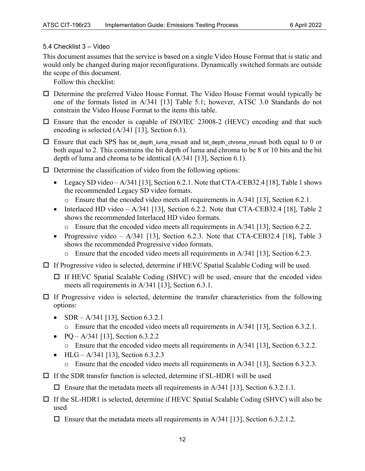#### <span id="page-15-0"></span>5.4 Checklist 3 – Video

This document assumes that the service is based on a single Video House Format that is static and would only be changed during major reconfigurations. Dynamically switched formats are outside the scope of this document.

Follow this checklist:

- $\Box$  Determine the preferred Video House Format. The Video House Format would typically be one of the formats listed in A/341 [\[13\]](#page-5-11) Table 5.1; however, ATSC 3.0 Standards do not constrain the Video House Format to the items this table.
- $\square$  Ensure that the encoder is capable of ISO/IEC 23008-2 (HEVC) encoding and that such encoding is selected (A/341 [\[13\],](#page-5-11) Section 6.1).
- $\Box$  Ensure that each SPS has bit depth luma minus8 and bit depth chroma minus8 both equal to 0 or both equal to 2. This constrains the bit depth of luma and chroma to be 8 or 10 bits and the bit depth of luma and chroma to be identical (A/341 [\[13\],](#page-5-11) Section 6.1).
- $\Box$  Determine the classification of video from the following options:
	- Legacy SD video  $A/341$  [\[13\],](#page-5-11) Section 6.2.1. Note that CTA-CEB32.[4 \[18\],](#page-5-16) Table 1 shows the recommended Legacy SD video formats.
		- o Ensure that the encoded video meets all requirements in A/341 [\[13\],](#page-5-11) Section 6.2.1.
	- Interlaced HD video  $A/341$  [\[13\],](#page-5-11) Section 6.2.2. Note that CTA-CEB32.4 [\[18\],](#page-5-16) Table 2 shows the recommended Interlaced HD video formats.
		- $\circ$  Ensure that the encoded video meets all requirements in A/341 [\[13\],](#page-5-11) Section 6.2.2.
	- Progressive video  $A/341$  [\[13\],](#page-5-11) Section 6.2.3. Note that CTA-CEB32.4 [\[18\],](#page-5-16) Table 3 shows the recommended Progressive video formats.
		- $\circ$  Ensure that the encoded video meets all requirements in A/341 [\[13\],](#page-5-11) Section 6.2.3.
- $\Box$  If Progressive video is selected, determine if HEVC Spatial Scalable Coding will be used.
	- $\Box$  If HEVC Spatial Scalable Coding (SHVC) will be used, ensure that the encoded video meets all requirements in A/341 [\[13\],](#page-5-11) Section 6.3.1.
- $\Box$  If Progressive video is selected, determine the transfer characteristics from the following options:
	- SDR  $A/341$  [\[13\],](#page-5-11) Section 6.3.2.1
		- o Ensure that the encoded video meets all requirements in A/341 [\[13\],](#page-5-11) Section 6.3.2.1.
	- PQ A/341 [\[13\],](#page-5-11) Section 6.3.2.2
		- o Ensure that the encoded video meets all requirements in A/341 [\[13\],](#page-5-11) Section 6.3.2.2.
	- HLG A/341 [\[13\],](#page-5-11) Section 6.3.2.3  $\circ$  Ensure that the encoded video meets all requirements in A/341 [\[13\],](#page-5-11) Section 6.3.2.3.
- $\Box$  If the SDR transfer function is selected, determine if SL-HDR1 will be used
	- $\Box$  Ensure that the metadata meets all requirements in A/341 [\[13\],](#page-5-11) Section 6.3.2.1.1.
- $\Box$  If the SL-HDR1 is selected, determine if HEVC Spatial Scalable Coding (SHVC) will also be used
	- $\Box$  Ensure that the metadata meets all requirements in A/341 [\[13\],](#page-5-11) Section 6.3.2.1.2.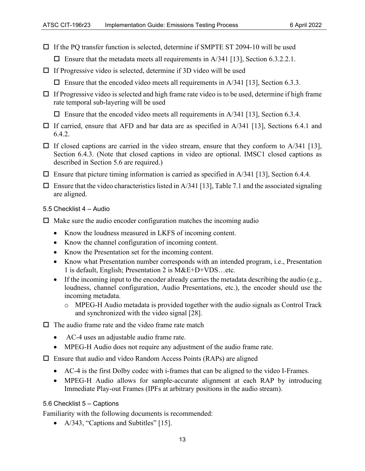- $\Box$  If the PQ transfer function is selected, determine if SMPTE ST 2094-10 will be used
	- $\Box$  Ensure that the metadata meets all requirements in A/341 [\[13\],](#page-5-11) Section 6.3.2.2.1.
- $\Box$  If Progressive video is selected, determine if 3D video will be used
	- $\Box$  Ensure that the encoded video meets all requirements in A/341 [\[13\],](#page-5-11) Section 6.3.3.
- $\Box$  If Progressive video is selected and high frame rate video is to be used, determine if high frame rate temporal sub-layering will be used

 $\Box$  Ensure that the encoded video meets all requirements in A/341 [\[13\],](#page-5-11) Section 6.3.4.

- $\Box$  If carried, ensure that AFD and bar data are as specified in A/341 [\[13\],](#page-5-11) Sections 6.4.1 and 6.4.2.
- $\Box$  If closed captions are carried in the video stream, ensure that they conform to A/341 [\[13\],](#page-5-11) Section 6.4.3. (Note that closed captions in video are optional. IMSC1 closed captions as described in Section [5.6](#page-16-1) are required.)
- $\Box$  Ensure that picture timing information is carried as specified in A/341 [\[13\],](#page-5-11) Section 6.4.4.
- $\Box$  Ensure that the video characteristics listed in A/34[1 \[13\],](#page-5-11) Table 7.1 and the associated signaling are aligned.

<span id="page-16-0"></span>5.5 Checklist 4 – Audio

- $\Box$  Make sure the audio encoder configuration matches the incoming audio
	- Know the loudness measured in LKFS of incoming content.
	- Know the channel configuration of incoming content.
	- Know the Presentation set for the incoming content.
	- Know what Presentation number corresponds with an intended program, i.e., Presentation 1 is default, English; Presentation 2 is M&E+D+VDS…etc.
	- If the incoming input to the encoder already carries the metadata describing the audio (e.g., loudness, channel configuration, Audio Presentations, etc.), the encoder should use the incoming metadata.
		- o MPEG-H Audio metadata is provided together with the audio signals as Control Track and synchronized with the video signal [\[28\].](#page-6-2)
- $\Box$  The audio frame rate and the video frame rate match
	- AC-4 uses an adjustable audio frame rate.
	- MPEG-H Audio does not require any adjustment of the audio frame rate.
- $\square$  Ensure that audio and video Random Access Points (RAPs) are aligned
	- AC-4 is the first Dolby codec with i-frames that can be aligned to the video I-Frames.
	- MPEG-H Audio allows for sample-accurate alignment at each RAP by introducing Immediate Play-out Frames (IPFs at arbitrary positions in the audio stream).

#### <span id="page-16-1"></span>5.6 Checklist 5 – Captions

Familiarity with the following documents is recommended:

• A/343, "Captions and Subtitles" [\[15\].](#page-5-13)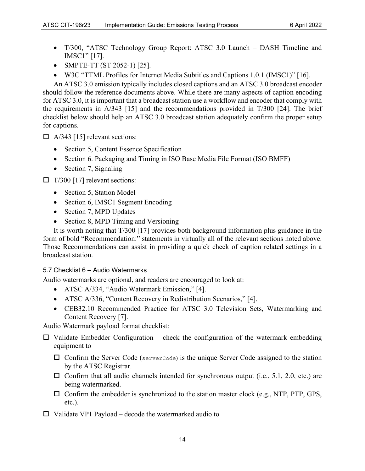- T/300, "ATSC Technology Group Report: ATSC 3.0 Launch DASH Timeline and IMSC1" [\[17\].](#page-5-15)
- SMPTE-TT (ST 2052-1) [\[25\].](#page-6-3)
- W3C "TTML Profiles for Internet Media Subtitles and Captions 1.0.1 (IMSC1)" [\[16\].](#page-5-14)

An ATSC 3.0 emission typically includes closed captions and an ATSC 3.0 broadcast encoder should follow the reference documents above. While there are many aspects of caption encoding for ATSC 3.0, it is important that a broadcast station use a workflow and encoder that comply with the requirements in A/343 [\[15\]](#page-5-13) and the recommendations provided in T/300 [\[24\].](#page-6-4) The brief checklist below should help an ATSC 3.0 broadcast station adequately confirm the proper setup for captions.

 $\Box$  A/343 [\[15\]](#page-5-13) relevant sections:

- Section 5, Content Essence Specification
- Section 6. Packaging and Timing in ISO Base Media File Format (ISO BMFF)
- Section 7, Signaling

 $\Box$  T/300 [\[17\]](#page-5-15) relevant sections:

- Section 5, Station Model
- Section 6, IMSC1 Segment Encoding
- Section 7, MPD Updates
- Section 8, MPD Timing and Versioning

It is worth noting that T/300 [\[17\]](#page-5-15) provides both background information plus guidance in the form of bold "Recommendation:" statements in virtually all of the relevant sections noted above. Those Recommendations can assist in providing a quick check of caption related settings in a broadcast station.

#### <span id="page-17-0"></span>5.7 Checklist 6 – Audio Watermarks

Audio watermarks are optional, and readers are encouraged to look at:

- ATSC A/334, "Audio Watermark Emission," [\[4\].](#page-5-2)
- ATSC A/336, "Content Recovery in Redistribution Scenarios," [\[4\].](#page-5-2)
- CEB32.10 Recommended Practice for ATSC 3.0 Television Sets, Watermarking and Content Recovery [\[7\].](#page-5-5)

Audio Watermark payload format checklist:

 $\Box$  Validate Embedder Configuration – check the configuration of the watermark embedding equipment to

- $\Box$  Confirm the Server Code (serverCode) is the unique Server Code assigned to the station by the ATSC Registrar.
- $\Box$  Confirm that all audio channels intended for synchronous output (i.e., 5.1, 2.0, etc.) are being watermarked.
- $\square$  Confirm the embedder is synchronized to the station master clock (e.g., NTP, PTP, GPS, etc.).
- $\Box$  Validate VP1 Payload decode the watermarked audio to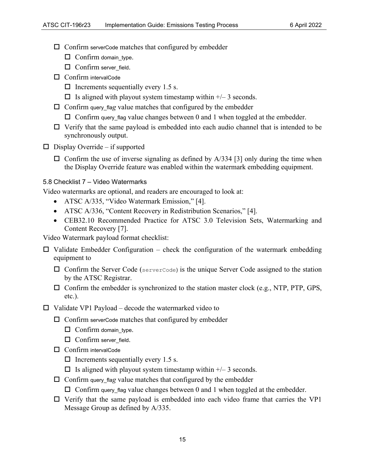- $\square$  Confirm server Code matches that configured by embedder
	- Confirm domain\_type.
	- $\Box$  Confirm server field.
- □ Confirm intervalCode
	- $\Box$  Increments sequentially every 1.5 s.
	- $\Box$  Is aligned with playout system timestamp within  $\pm$  3 seconds.
- $\Box$  Confirm query flag value matches that configured by the embedder
	- $\Box$  Confirm query\_flag value changes between 0 and 1 when toggled at the embedder.
- $\Box$  Verify that the same payload is embedded into each audio channel that is intended to be synchronously output.
- $\square$  Display Override if supported
	- $\Box$  Confirm the use of inverse signaling as defined by A/334 [\[3\]](#page-5-1) only during the time when the Display Override feature was enabled within the watermark embedding equipment.

#### <span id="page-18-0"></span>5.8 Checklist 7 – Video Watermarks

Video watermarks are optional, and readers are encouraged to look at:

- ATSC A/335, "Video Watermark Emission," [\[4\].](#page-5-2)
- ATSC A/336, "Content Recovery in Redistribution Scenarios," [\[4\].](#page-5-2)
- CEB32.10 Recommended Practice for ATSC 3.0 Television Sets, Watermarking and Content Recovery [\[7\].](#page-5-5)

Video Watermark payload format checklist:

- $\Box$  Validate Embedder Configuration check the configuration of the watermark embedding equipment to
	- $\Box$  Confirm the Server Code (serverCode) is the unique Server Code assigned to the station by the ATSC Registrar.
	- $\Box$  Confirm the embedder is synchronized to the station master clock (e.g., NTP, PTP, GPS, etc.).
- $\Box$  Validate VP1 Payload decode the watermarked video to
	- $\square$  Confirm server Code matches that configured by embedder
		- $\Box$  Confirm domain type.
		- Confirm server\_field.
	- □ Confirm intervalCode
		- $\Box$  Increments sequentially every 1.5 s.
		- $\Box$  Is aligned with playout system timestamp within  $\pm/-3$  seconds.
	- $\Box$  Confirm query flag value matches that configured by the embedder
		- $\Box$  Confirm query flag value changes between 0 and 1 when toggled at the embedder.
	- $\Box$  Verify that the same payload is embedded into each video frame that carries the VP1 Message Group as defined by A/335.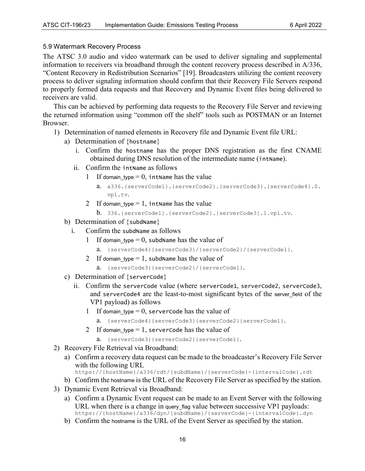#### <span id="page-19-0"></span>5.9 Watermark Recovery Process

The ATSC 3.0 audio and video watermark can be used to deliver signaling and supplemental information to receivers via broadband through the content recovery process described in A/336, "Content Recovery in Redistribution Scenarios" [\[19\].](#page-5-17) Broadcasters utilizing the content recovery process to deliver signaling information should confirm that their Recovery File Servers respond to properly formed data requests and that Recovery and Dynamic Event files being delivered to receivers are valid.

This can be achieved by performing data requests to the Recovery File Server and reviewing the returned information using "common off the shelf" tools such as POSTMAN or an Internet Browser.

- 1) Determination of named elements in Recovery file and Dynamic Event file URL:
	- a) Determination of {hostname}
		- i. Confirm the hostname has the proper DNS registration as the first CNAME obtained during DNS resolution of the intermediate name (intName).
		- ii. Confirm the intName as follows
			- 1 If domain type  $= 0$ , intName has the value
				- a. a336.{serverCode1}.{serverCode2}.{serverCode3}.{serverCode4}.0. vp1.tv.
			- 2 If domain type  $= 1$ , intName has the value
				- b. 336.{serverCode1}.{serverCode2}.{serverCode3}.1.vp1.tv.
	- b) Determination of {subdName}
		- i. Confirm the subdName as follows
			- 1 If domain type  $= 0$ , subdName has the value of
				- a. {serverCode4}{serverCode3}/{serverCode2}/{serverCode1}.
			- 2 If domain type  $= 1$ , subdName has the value of
				- a. {serverCode3}{serverCode2}/{serverCode1}.
	- c) Determination of {serverCode}
		- ii. Confirm the serverCode value (where serverCode1, serverCode2, serverCode3, and serverCode4 are the least-to-most significant bytes of the server field of the VP1 payload) as follows
			- 1 If domain type  $= 0$ , serverCode has the value of
				- a. {serverCode4}{serverCode3}{serverCode2}{serverCode1}.
			- 2 If domain\_type  $= 1$ , serverCode has the value of
				- a. {serverCode3}{serverCode2}{serverCode1}.
- 2) Recovery File Retrieval via Broadband:
	- a) Confirm a recovery data request can be made to the broadcaster's Recovery File Server with the following URL
		- https://{hostName}/a336/rdt/{subdName}/{serverCode}-{intervalCode}.rdt
	- b) Confirm the hostname is the URL of the Recovery File Server as specified by the station.
- 3) Dynamic Event Retrieval via Broadband:
	- a) Confirm a Dynamic Event request can be made to an Event Server with the following URL when there is a change in query flag value between successive VP1 payloads: https://{hostName}/a336/dyn/{subdName}/{serverCode}-{intervalCode}.dyn
	- b) Confirm the hostname is the URL of the Event Server as specified by the station.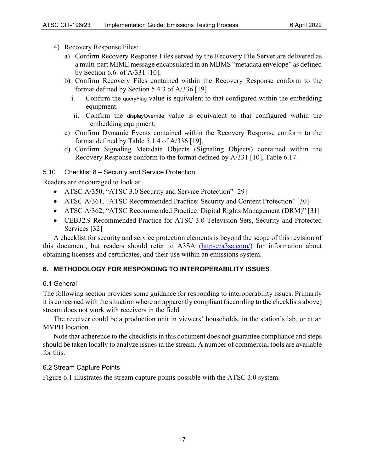- 4) Recovery Response Files:
	- a) Confirm Recovery Response Files served by the Recovery File Server are delivered as a multi-part MIME message encapsulated in an MBMS "metadata envelope" as defined by Section 6.6. of A/331 [\[10\].](#page-5-8)
	- b) Confirm Recovery Files contained within the Recovery Response conform to the format defined by Section 5.4.3 of A/336 [\[19\]](#page-5-17) 
		- i. Confirm the queryFlag value is equivalent to that configured within the embedding equipment.
		- ii. Confirm the displayOverride value is equivalent to that configured within the embedding equipment.
	- c) Confirm Dynamic Events contained within the Recovery Response conform to the format defined by Table 5.1.4 of A/336 [\[19\].](#page-5-17)
	- d) Confirm Signaling Metadata Objects (Signaling Objects) contained within the Recovery Response conform to the format defined by A/331 [\[10\],](#page-5-8) Table 6.17.

#### <span id="page-20-0"></span>5.10 Checklist 8 – Security and Service Protection

Readers are encouraged to look at:

- ATSC A/350, "ATSC 3.0 Security and Service Protection" [\[29\]](#page-6-5)
- ATSC A/361, "ATSC Recommended Practice: Security and Content Protection" [30]
- ATSC A/362, "ATSC Recommended Practice: Digital Rights Management (DRM)" [31]
- CEB32.9 Recommended Practice for ATSC 3.0 Television Sets, Security and Protected Services [\[32\]](#page-6-8)

A checklist for security and service protection elements is beyond the scope of this revision of this document, but readers should refer to A3SA [\(https://a3sa.com/\)](https://a3sa.com/) for information about obtaining licenses and certificates, and their use within an emissions system.

#### <span id="page-20-1"></span>**6. METHODOLOGY FOR RESPONDING TO INTEROPERABILITY ISSUES**

#### <span id="page-20-2"></span>6.1 General

The following section provides some guidance for responding to interoperability issues. Primarily it is concerned with the situation where an apparently compliant (according to the checklists above) stream does not work with receivers in the field.

The receiver could be a production unit in viewers' households, in the station's lab, or at an MVPD location.

Note that adherence to the checklists in this document does not guarantee compliance and steps should be taken locally to analyze issues in the stream. A number of commercial tools are available for this.

#### <span id="page-20-3"></span>6.2 Stream Capture Points

[Figure 6.1](#page-21-0) illustrates the stream capture points possible with the ATSC 3.0 system.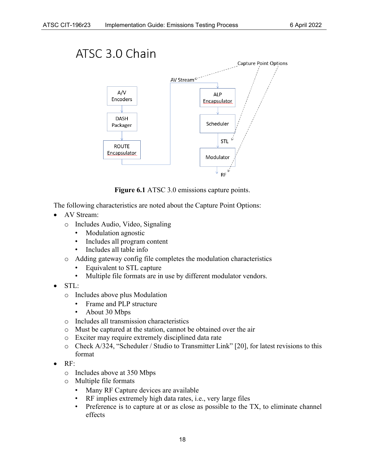

**Figure 6.1** ATSC 3.0 emissions capture points.

<span id="page-21-0"></span>The following characteristics are noted about the Capture Point Options:

- AV Stream:
	- o Includes Audio, Video, Signaling
		- Modulation agnostic
		- Includes all program content
		- Includes all table info
	- o Adding gateway config file completes the modulation characteristics
		- Equivalent to STL capture
		- Multiple file formats are in use by different modulator vendors.
- STL:
	- o Includes above plus Modulation
		- Frame and PLP structure
		- About 30 Mbps
	- o Includes all transmission characteristics
	- o Must be captured at the station, cannot be obtained over the air
	- o Exciter may require extremely disciplined data rate
	- $\circ$  Check A/324, "Scheduler / Studio to Transmitter Link" [\[20\],](#page-5-18) for latest revisions to this format
- RF:
	- o Includes above at 350 Mbps
	- o Multiple file formats
		- Many RF Capture devices are available
		- RF implies extremely high data rates, i.e., very large files
		- Preference is to capture at or as close as possible to the TX, to eliminate channel effects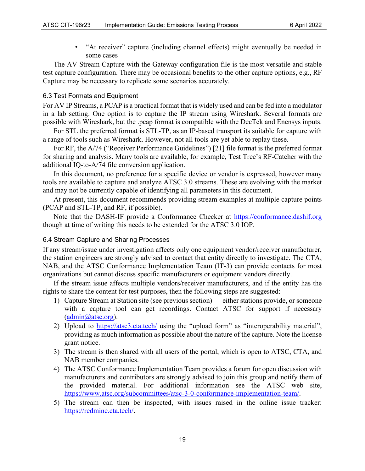• "At receiver" capture (including channel effects) might eventually be needed in some cases

The AV Stream Capture with the Gateway configuration file is the most versatile and stable test capture configuration. There may be occasional benefits to the other capture options, e.g., RF Capture may be necessary to replicate some scenarios accurately.

#### <span id="page-22-0"></span>6.3 Test Formats and Equipment

For AV IP Streams, a PCAP is a practical format that is widely used and can be fed into a modulator in a lab setting. One option is to capture the IP stream using Wireshark. Several formats are possible with Wireshark, but the .pcap format is compatible with the DecTek and Enensys inputs.

For STL the preferred format is STL-TP, as an IP-based transport its suitable for capture with a range of tools such as Wireshark. However, not all tools are yet able to replay these.

For RF, the A/74 ("Receiver Performance Guidelines") [\[21\]](#page-6-9) file format is the preferred format for sharing and analysis. Many tools are available, for example, Test Tree's RF-Catcher with the additional IQ-to-A/74 file conversion application.

In this document, no preference for a specific device or vendor is expressed, however many tools are available to capture and analyze ATSC 3.0 streams. These are evolving with the market and may not be currently capable of identifying all parameters in this document.

At present, this document recommends providing stream examples at multiple capture points (PCAP and STL-TP, and RF, if possible).

Note that the DASH-IF provide a Conformance Checker at [https://conformance.dashif.org](https://conformance.dashif.org/) though at time of writing this needs to be extended for the ATSC 3.0 IOP.

#### <span id="page-22-1"></span>6.4 Stream Capture and Sharing Processes

If any stream/issue under investigation affects only one equipment vendor/receiver manufacturer, the station engineers are strongly advised to contact that entity directly to investigate. The CTA, NAB, and the ATSC Conformance Implementation Team (IT-3) can provide contacts for most organizations but cannot discuss specific manufacturers or equipment vendors directly.

If the stream issue affects multiple vendors/receiver manufacturers, and if the entity has the rights to share the content for test purposes, then the following steps are suggested:

- 1) Capture Stream at Station site (see previous section) either stations provide, or someone with a capture tool can get recordings. Contact ATSC for support if necessary [\(admin@atsc.org\)](mailto:admin@atsc.org).
- 2) Upload to<https://atsc3.cta.tech/> using the "upload form" as "interoperability material", providing as much information as possible about the nature of the capture. Note the license grant notice.
- 3) The stream is then shared with all users of the portal, which is open to ATSC, CTA, and NAB member companies.
- 4) The ATSC Conformance Implementation Team provides a forum for open discussion with manufacturers and contributors are strongly advised to join this group and notify them of the provided material. For additional information see the ATSC web site, [https://www.atsc.org/subcommittees/atsc-3-0-conformance-implementation-team/.](https://www.atsc.org/subcommittees/atsc-3-0-conformance-implementation-team/)
- 5) The stream can then be inspected, with issues raised in the online issue tracker: [https://redmine.cta.tech/.](https://redmine.cta.tech/)